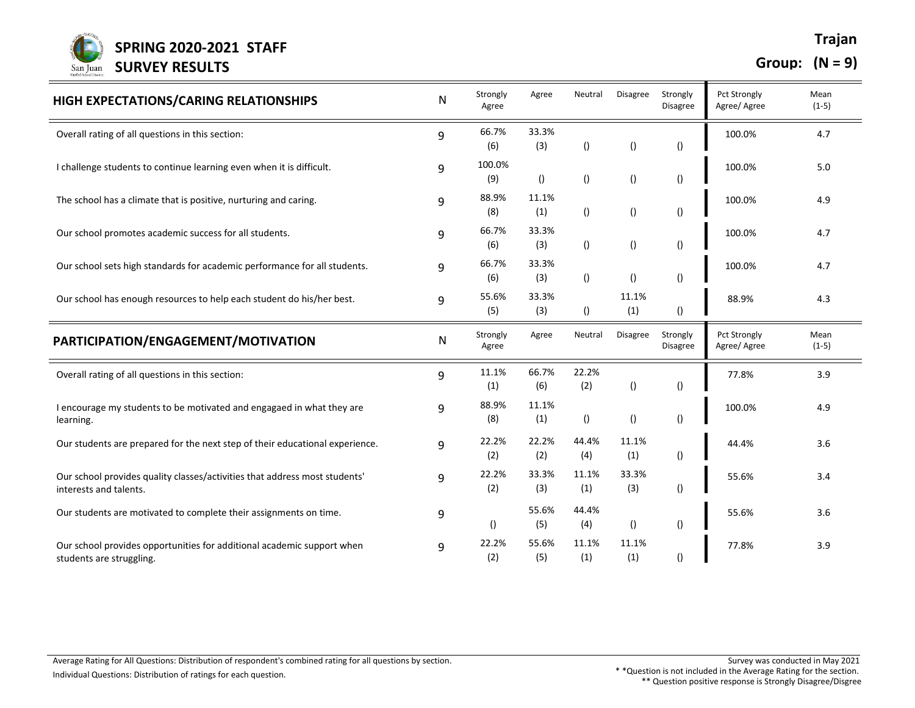

**Group: (N = 9)**

| HIGH EXPECTATIONS/CARING RELATIONSHIPS                                                               | N | Strongly<br>Agree | Agree            | Neutral          | <b>Disagree</b>  | Strongly<br>Disagree        | <b>Pct Strongly</b><br>Agree/ Agree | Mean<br>$(1-5)$ |
|------------------------------------------------------------------------------------------------------|---|-------------------|------------------|------------------|------------------|-----------------------------|-------------------------------------|-----------------|
| Overall rating of all questions in this section:                                                     | 9 | 66.7%<br>(6)      | 33.3%<br>(3)     | $\left( \right)$ | $\left(\right)$  | $\left( \right)$            | 100.0%                              | 4.7             |
| I challenge students to continue learning even when it is difficult.                                 | 9 | 100.0%<br>(9)     | $\left( \right)$ | $\left( \right)$ | $\left(\right)$  | $\left( \right)$            | 100.0%                              | 5.0             |
| The school has a climate that is positive, nurturing and caring.                                     | 9 | 88.9%<br>(8)      | 11.1%<br>(1)     | $\left( \right)$ | $\left(\right)$  | $\left( \right)$            | 100.0%                              | 4.9             |
| Our school promotes academic success for all students.                                               | 9 | 66.7%<br>(6)      | 33.3%<br>(3)     | $\left( \right)$ | $\left(\right)$  | $\left( \right)$            | 100.0%                              | 4.7             |
| Our school sets high standards for academic performance for all students.                            | 9 | 66.7%<br>(6)      | 33.3%<br>(3)     | $\left( \right)$ | $\left( \right)$ | $\left( \right)$            | 100.0%                              | 4.7             |
| Our school has enough resources to help each student do his/her best.                                | 9 | 55.6%<br>(5)      | 33.3%<br>(3)     | $\left( \right)$ | 11.1%<br>(1)     | $\left( \right)$            | 88.9%                               | 4.3             |
| PARTICIPATION/ENGAGEMENT/MOTIVATION                                                                  | N | Strongly<br>Agree | Agree            | Neutral          | Disagree         | Strongly<br><b>Disagree</b> | Pct Strongly<br>Agree/ Agree        | Mean<br>$(1-5)$ |
| Overall rating of all questions in this section:                                                     | 9 | 11.1%<br>(1)      | 66.7%<br>(6)     | 22.2%<br>(2)     | $\left( \right)$ | ()                          | 77.8%                               | 3.9             |
| I encourage my students to be motivated and engagaed in what they are<br>learning.                   | 9 | 88.9%<br>(8)      | 11.1%<br>(1)     | $\left( \right)$ | $\left( \right)$ | ()                          | 100.0%                              | 4.9             |
| Our students are prepared for the next step of their educational experience.                         | 9 | 22.2%<br>(2)      | 22.2%<br>(2)     | 44.4%<br>(4)     | 11.1%<br>(1)     | ()                          | 44.4%                               | 3.6             |
| Our school provides quality classes/activities that address most students'<br>interests and talents. | 9 | 22.2%<br>(2)      | 33.3%<br>(3)     | 11.1%<br>(1)     | 33.3%<br>(3)     | ()                          | 55.6%                               | 3.4             |
| Our students are motivated to complete their assignments on time.                                    | 9 | $\left( \right)$  | 55.6%<br>(5)     | 44.4%<br>(4)     | $\left( \right)$ | ()                          | 55.6%                               | 3.6             |
| Our school provides opportunities for additional academic support when<br>students are struggling.   | 9 | 22.2%<br>(2)      | 55.6%<br>(5)     | 11.1%<br>(1)     | 11.1%<br>(1)     | $\left( \right)$            | 77.8%                               | 3.9             |

\*\* Question positive response is Strongly Disagree/Disgree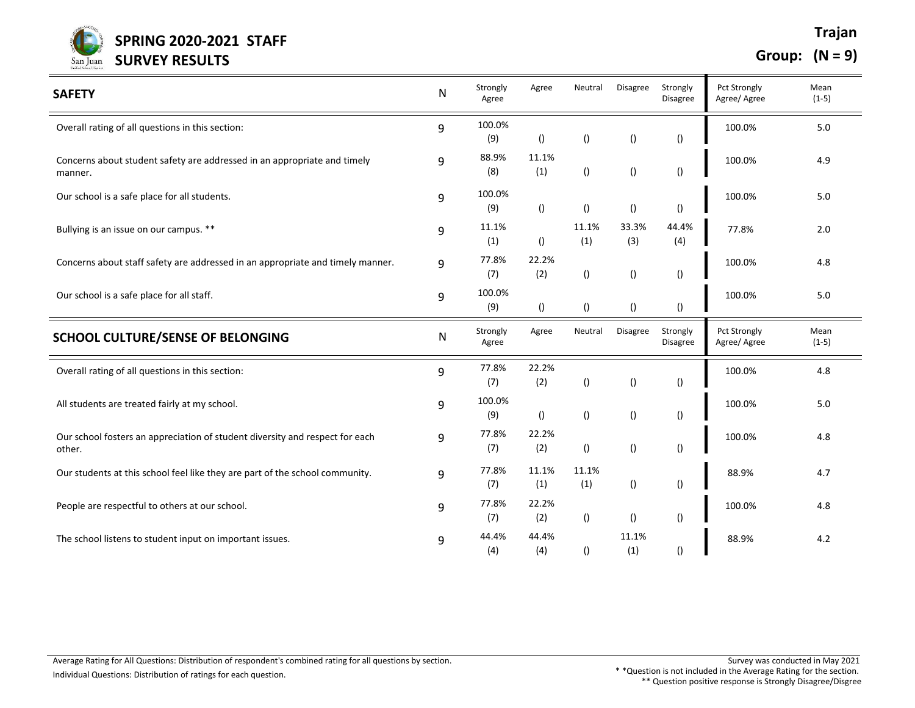

| <b>SAFETY</b>                                                                          | N | Strongly<br>Agree | Agree            | Neutral          | <b>Disagree</b>  | Strongly<br><b>Disagree</b> | <b>Pct Strongly</b><br>Agree/ Agree | Mean<br>$(1-5)$ |
|----------------------------------------------------------------------------------------|---|-------------------|------------------|------------------|------------------|-----------------------------|-------------------------------------|-----------------|
| Overall rating of all questions in this section:                                       | 9 | 100.0%<br>(9)     | $\left( \right)$ | $\left( \right)$ | $\left( \right)$ | $\left( \right)$            | 100.0%                              | 5.0             |
| Concerns about student safety are addressed in an appropriate and timely<br>manner.    | 9 | 88.9%<br>(8)      | 11.1%<br>(1)     | $\left( \right)$ | $\left( \right)$ | $\left( \right)$            | 100.0%                              | 4.9             |
| Our school is a safe place for all students.                                           | 9 | 100.0%<br>(9)     | $\left( \right)$ | ()               | $\left( \right)$ | $\left( \right)$            | 100.0%                              | 5.0             |
| Bullying is an issue on our campus. **                                                 | 9 | 11.1%<br>(1)      | $\left( \right)$ | 11.1%<br>(1)     | 33.3%<br>(3)     | 44.4%<br>(4)                | 77.8%                               | 2.0             |
| Concerns about staff safety are addressed in an appropriate and timely manner.         | 9 | 77.8%<br>(7)      | 22.2%<br>(2)     | ()               | $\left( \right)$ | $\left( \right)$            | 100.0%                              | 4.8             |
| Our school is a safe place for all staff.                                              | 9 | 100.0%<br>(9)     | ()               | ()               | $\left( \right)$ | $\left( \right)$            | 100.0%                              | 5.0             |
| SCHOOL CULTURE/SENSE OF BELONGING                                                      | N | Strongly<br>Agree | Agree            | Neutral          | Disagree         | Strongly<br>Disagree        | Pct Strongly<br>Agree/ Agree        | Mean<br>$(1-5)$ |
| Overall rating of all questions in this section:                                       | 9 | 77.8%<br>(7)      | 22.2%<br>(2)     | $\left( \right)$ | $\left( \right)$ | $\left( \right)$            | 100.0%                              | 4.8             |
| All students are treated fairly at my school.                                          | 9 | 100.0%<br>(9)     | $\left( \right)$ | ()               | $\left( \right)$ | $\left( \right)$            | 100.0%                              | 5.0             |
| Our school fosters an appreciation of student diversity and respect for each<br>other. | 9 | 77.8%<br>(7)      | 22.2%<br>(2)     | ()               | $\left( \right)$ | $\left( \right)$            | 100.0%                              | 4.8             |
| Our students at this school feel like they are part of the school community.           | 9 | 77.8%<br>(7)      | 11.1%<br>(1)     | 11.1%<br>(1)     | $\left( \right)$ | $\left( \right)$            | 88.9%                               | 4.7             |
| People are respectful to others at our school.                                         | 9 | 77.8%<br>(7)      | 22.2%<br>(2)     | ()               | $\left( \right)$ | $\left( \right)$            | 100.0%                              | 4.8             |
| The school listens to student input on important issues.                               | 9 | 44.4%<br>(4)      | 44.4%<br>(4)     | $\left( \right)$ | 11.1%<br>(1)     | $\left( \right)$            | 88.9%                               | 4.2             |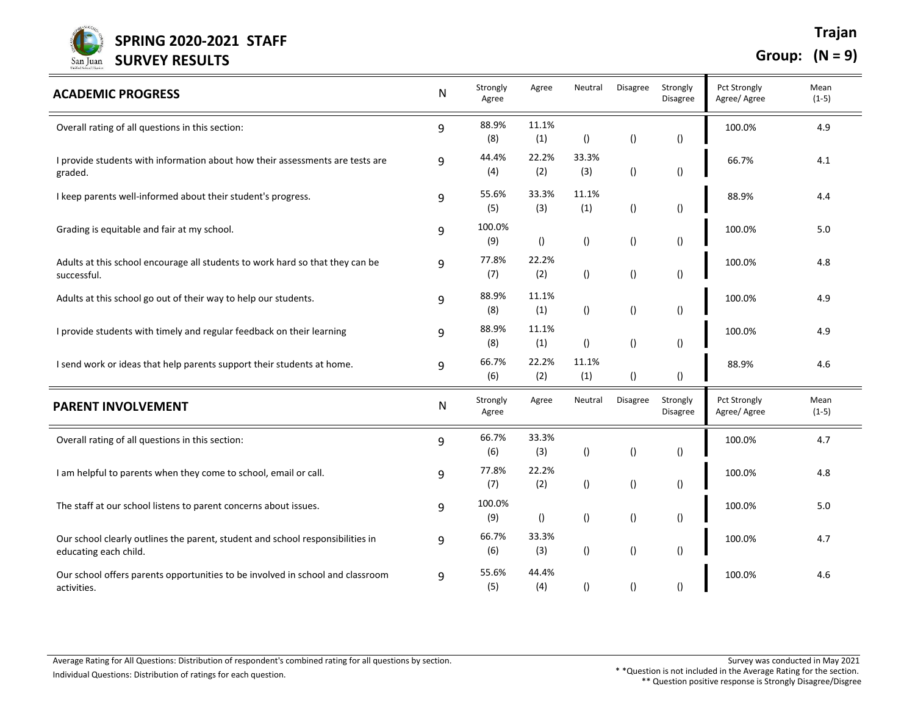

| <b>ACADEMIC PROGRESS</b>                                                                                | N            | Strongly<br>Agree | Agree            | Neutral          | Disagree         | Strongly<br>Disagree | <b>Pct Strongly</b><br>Agree/ Agree | Mean<br>$(1-5)$ |
|---------------------------------------------------------------------------------------------------------|--------------|-------------------|------------------|------------------|------------------|----------------------|-------------------------------------|-----------------|
| Overall rating of all questions in this section:                                                        | 9            | 88.9%<br>(8)      | 11.1%<br>(1)     | $\left( \right)$ | $\left(\right)$  | $\left( \right)$     | 100.0%                              | 4.9             |
| I provide students with information about how their assessments are tests are<br>graded.                | 9            | 44.4%<br>(4)      | 22.2%<br>(2)     | 33.3%<br>(3)     | $\left( \right)$ | $\left( \right)$     | 66.7%                               | 4.1             |
| I keep parents well-informed about their student's progress.                                            | 9            | 55.6%<br>(5)      | 33.3%<br>(3)     | 11.1%<br>(1)     | $\left( \right)$ | $\left( \right)$     | 88.9%                               | 4.4             |
| Grading is equitable and fair at my school.                                                             | 9            | 100.0%<br>(9)     | ()               | $\left( \right)$ | $\left(\right)$  | $\left( \right)$     | 100.0%                              | 5.0             |
| Adults at this school encourage all students to work hard so that they can be<br>successful.            | 9            | 77.8%<br>(7)      | 22.2%<br>(2)     | $\left( \right)$ | $\left( \right)$ | $\left( \right)$     | 100.0%                              | 4.8             |
| Adults at this school go out of their way to help our students.                                         | 9            | 88.9%<br>(8)      | 11.1%<br>(1)     | $\left( \right)$ | $\left(\right)$  | $\left( \right)$     | 100.0%                              | 4.9             |
| I provide students with timely and regular feedback on their learning                                   | 9            | 88.9%<br>(8)      | 11.1%<br>(1)     | $\left( \right)$ | $\left( \right)$ | $\left( \right)$     | 100.0%                              | 4.9             |
| I send work or ideas that help parents support their students at home.                                  | 9            | 66.7%<br>(6)      | 22.2%<br>(2)     | 11.1%<br>(1)     | $\left(\right)$  | $\left( \right)$     | 88.9%                               | 4.6             |
| <b>PARENT INVOLVEMENT</b>                                                                               | $\mathsf{N}$ | Strongly<br>Agree | Agree            | Neutral          | <b>Disagree</b>  | Strongly<br>Disagree | <b>Pct Strongly</b><br>Agree/ Agree | Mean<br>$(1-5)$ |
| Overall rating of all questions in this section:                                                        | 9            | 66.7%<br>(6)      | 33.3%<br>(3)     | $\left( \right)$ | $\left(\right)$  | $\left( \right)$     | 100.0%                              | 4.7             |
| I am helpful to parents when they come to school, email or call.                                        | 9            | 77.8%<br>(7)      | 22.2%<br>(2)     | ()               | $\left( \right)$ | $\left( \right)$     | 100.0%                              | 4.8             |
| The staff at our school listens to parent concerns about issues.                                        | 9            | 100.0%<br>(9)     | $\left( \right)$ | $\left( \right)$ | $\left(\right)$  | $\left( \right)$     | 100.0%                              | 5.0             |
| Our school clearly outlines the parent, student and school responsibilities in<br>educating each child. | 9            | 66.7%<br>(6)      | 33.3%<br>(3)     | ()               | $\left( \right)$ | $\left( \right)$     | 100.0%                              | 4.7             |
| Our school offers parents opportunities to be involved in school and classroom<br>activities.           | 9            | 55.6%<br>(5)      | 44.4%<br>(4)     | $\left( \right)$ | $\left( \right)$ | $\left( \right)$     | 100.0%                              | 4.6             |

\* \*Question is not included in the Average Rating for the section. \*\* Question positive response is Strongly Disagree/Disgree